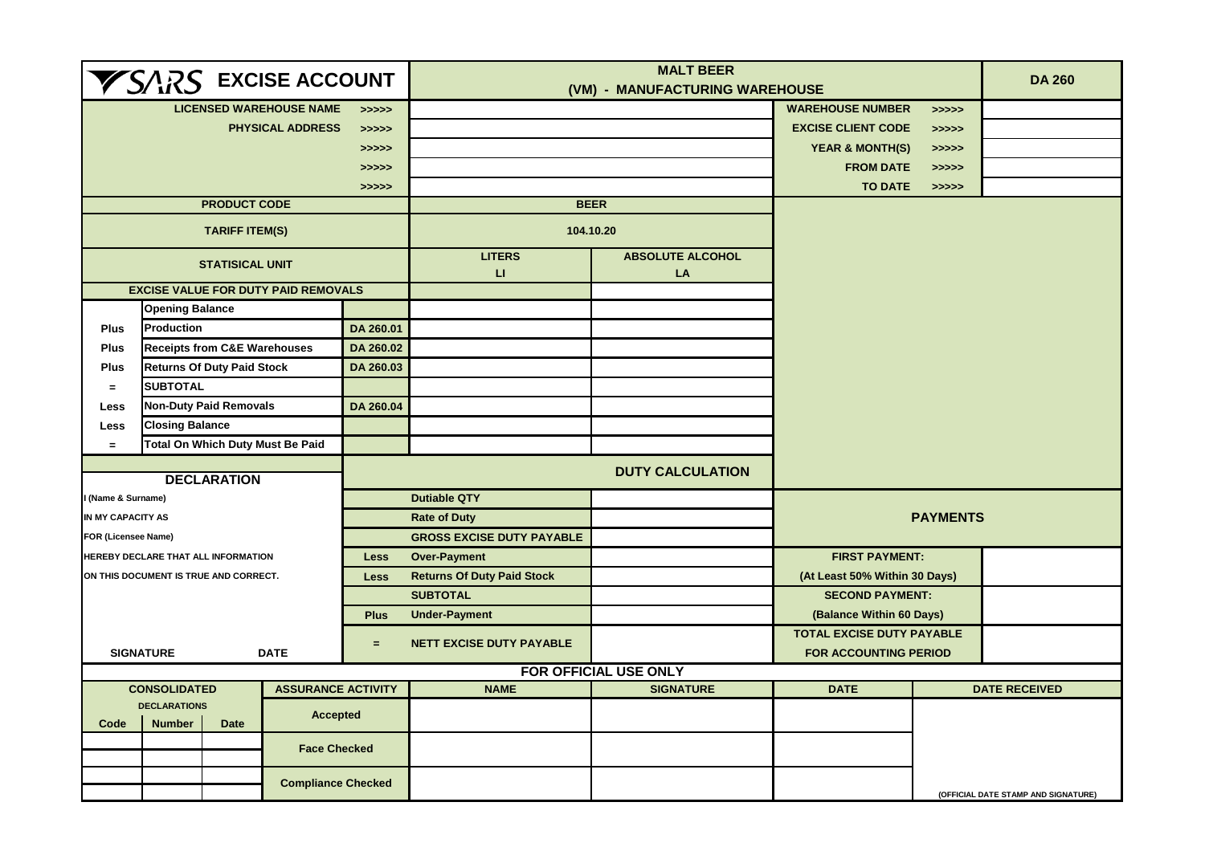| <b>VSARS EXCISE ACCOUNT</b>            |                                         |                              |                                            |             |                                   | <b>DA 260</b>                  |                                                           |                |                                     |
|----------------------------------------|-----------------------------------------|------------------------------|--------------------------------------------|-------------|-----------------------------------|--------------------------------|-----------------------------------------------------------|----------------|-------------------------------------|
|                                        |                                         |                              | <b>LICENSED WAREHOUSE NAME</b>             | >>>>>       |                                   | (VM) - MANUFACTURING WAREHOUSE | <b>WAREHOUSE NUMBER</b>                                   |                |                                     |
|                                        |                                         |                              | <b>PHYSICAL ADDRESS</b>                    | >>>>>       |                                   |                                | <b>EXCISE CLIENT CODE</b>                                 | >>>>><br>>>>>> |                                     |
| >>>>>                                  |                                         |                              |                                            |             |                                   |                                | <b>YEAR &amp; MONTH(S)</b>                                | >>>>>          |                                     |
|                                        |                                         |                              |                                            | >>>>>       |                                   |                                | <b>FROM DATE</b>                                          | > >> > > >     |                                     |
|                                        |                                         |                              |                                            | >>>>>       |                                   |                                | <b>TO DATE</b>                                            | >>>>>          |                                     |
|                                        |                                         | <b>PRODUCT CODE</b>          |                                            |             | <b>BEER</b>                       |                                |                                                           |                |                                     |
|                                        |                                         | <b>TARIFF ITEM(S)</b>        |                                            |             |                                   | 104.10.20                      |                                                           |                |                                     |
|                                        |                                         | <b>STATISICAL UNIT</b>       |                                            |             | <b>LITERS</b><br>П                | <b>ABSOLUTE ALCOHOL</b><br>LA  |                                                           |                |                                     |
|                                        |                                         |                              | <b>EXCISE VALUE FOR DUTY PAID REMOVALS</b> |             |                                   |                                |                                                           |                |                                     |
|                                        | <b>Opening Balance</b>                  |                              |                                            |             |                                   |                                |                                                           |                |                                     |
| <b>Plus</b>                            | Production                              |                              |                                            | DA 260.01   |                                   |                                |                                                           |                |                                     |
| <b>Plus</b>                            | <b>Receipts from C&amp;E Warehouses</b> |                              |                                            | DA 260.02   |                                   |                                |                                                           |                |                                     |
| <b>Plus</b>                            | <b>Returns Of Duty Paid Stock</b>       |                              |                                            | DA 260.03   |                                   |                                |                                                           |                |                                     |
| $=$                                    | <b>SUBTOTAL</b>                         |                              |                                            |             |                                   |                                |                                                           |                |                                     |
| <b>Less</b>                            | <b>Non-Duty Paid Removals</b>           |                              |                                            | DA 260.04   |                                   |                                |                                                           |                |                                     |
| <b>Less</b>                            | <b>Closing Balance</b>                  |                              |                                            |             |                                   |                                |                                                           |                |                                     |
| $=$                                    | <b>Total On Which Duty Must Be Paid</b> |                              |                                            |             |                                   |                                |                                                           |                |                                     |
|                                        |                                         | <b>DECLARATION</b>           |                                            |             |                                   | <b>DUTY CALCULATION</b>        |                                                           |                |                                     |
| I (Name & Surname)                     |                                         |                              |                                            |             | <b>Dutiable QTY</b>               |                                | <b>PAYMENTS</b>                                           |                |                                     |
| IN MY CAPACITY AS                      |                                         |                              |                                            |             | <b>Rate of Duty</b>               |                                |                                                           |                |                                     |
| <b>FOR (Licensee Name)</b>             |                                         |                              |                                            |             | <b>GROSS EXCISE DUTY PAYABLE</b>  |                                |                                                           |                |                                     |
|                                        | HEREBY DECLARE THAT ALL INFORMATION     |                              |                                            | <b>Less</b> | <b>Over-Payment</b>               |                                | <b>FIRST PAYMENT:</b>                                     |                |                                     |
|                                        | ON THIS DOCUMENT IS TRUE AND CORRECT.   |                              |                                            | <b>Less</b> | <b>Returns Of Duty Paid Stock</b> |                                | (At Least 50% Within 30 Days)                             |                |                                     |
|                                        |                                         |                              |                                            |             | <b>SUBTOTAL</b>                   |                                | <b>SECOND PAYMENT:</b>                                    |                |                                     |
|                                        |                                         |                              |                                            | <b>Plus</b> | <b>Under-Payment</b>              |                                | (Balance Within 60 Days)                                  |                |                                     |
| $=$<br><b>SIGNATURE</b><br><b>DATE</b> |                                         |                              |                                            |             | <b>NETT EXCISE DUTY PAYABLE</b>   |                                | <b>TOTAL EXCISE DUTY PAYABLE</b><br>FOR ACCOUNTING PERIOD |                |                                     |
|                                        |                                         |                              |                                            |             |                                   | FOR OFFICIAL USE ONLY          |                                                           |                |                                     |
|                                        | <b>CONSOLIDATED</b>                     |                              | <b>ASSURANCE ACTIVITY</b>                  |             | <b>NAME</b>                       | <b>SIGNATURE</b>               | <b>DATE</b>                                               |                | <b>DATE RECEIVED</b>                |
| <b>DECLARATIONS</b><br><b>Accepted</b> |                                         |                              |                                            |             |                                   |                                |                                                           |                |                                     |
| Code                                   |                                         | <b>Number</b><br><b>Date</b> |                                            |             |                                   |                                |                                                           |                |                                     |
|                                        |                                         |                              | <b>Face Checked</b>                        |             |                                   |                                |                                                           |                |                                     |
|                                        |                                         |                              | <b>Compliance Checked</b>                  |             |                                   |                                |                                                           |                | (OFFICIAL DATE STAMP AND SIGNATURE) |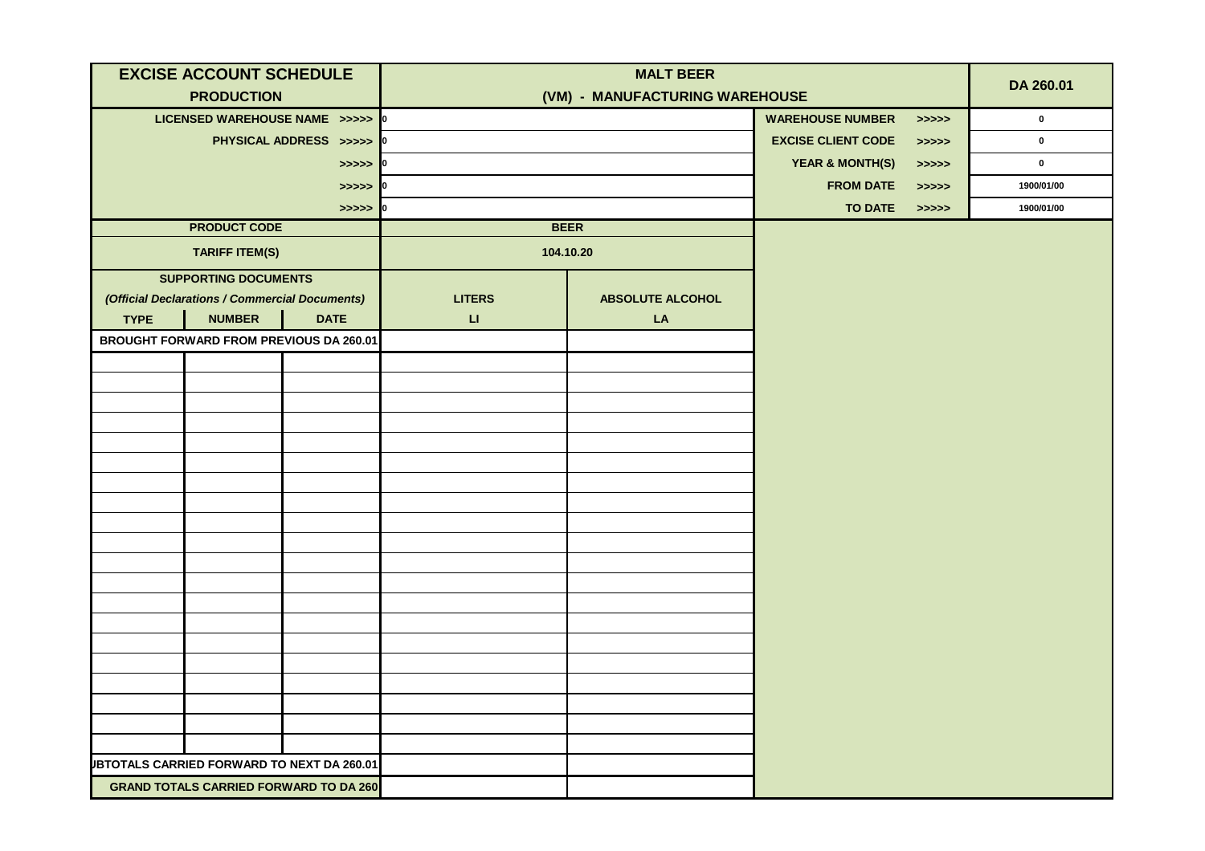| <b>EXCISE ACCOUNT SCHEDULE</b>                |                                                   |                                                   |                        | <b>MALT BEER</b>               |                            | DA 260.01                                                             |             |  |
|-----------------------------------------------|---------------------------------------------------|---------------------------------------------------|------------------------|--------------------------------|----------------------------|-----------------------------------------------------------------------|-------------|--|
|                                               | <b>PRODUCTION</b>                                 |                                                   |                        | (VM) - MANUFACTURING WAREHOUSE |                            |                                                                       |             |  |
|                                               | LICENSED WAREHOUSE NAME >>>>> 0                   |                                                   |                        |                                | <b>WAREHOUSE NUMBER</b>    | > >> > >                                                              | $\mathbf 0$ |  |
|                                               |                                                   | PHYSICAL ADDRESS >>>>> 0                          |                        |                                | <b>EXCISE CLIENT CODE</b>  | > >> > >                                                              | $\mathbf 0$ |  |
|                                               |                                                   | $>>>>$ 0                                          |                        |                                | <b>YEAR &amp; MONTH(S)</b> | > >> > >                                                              | $\mathbf 0$ |  |
|                                               |                                                   | $>>>>$ 0                                          |                        |                                | <b>FROM DATE</b>           | > >> > >                                                              | 1900/01/00  |  |
|                                               |                                                   | $\Rightarrow \Rightarrow \Rightarrow \Rightarrow$ | 10                     |                                | <b>TO DATE</b>             | $\boldsymbol{\gt} \boldsymbol{\gt} \boldsymbol{\gt} \boldsymbol{\gt}$ | 1900/01/00  |  |
|                                               | <b>PRODUCT CODE</b>                               |                                                   |                        | <b>BEER</b>                    |                            |                                                                       |             |  |
|                                               | <b>TARIFF ITEM(S)</b>                             |                                                   |                        | 104.10.20                      |                            |                                                                       |             |  |
|                                               | <b>SUPPORTING DOCUMENTS</b>                       |                                                   |                        |                                |                            |                                                                       |             |  |
|                                               | (Official Declarations / Commercial Documents)    |                                                   | <b>LITERS</b>          | <b>ABSOLUTE ALCOHOL</b>        |                            |                                                                       |             |  |
| <b>TYPE</b>                                   | <b>NUMBER</b>                                     | <b>DATE</b>                                       | $\mathsf{L}\mathsf{L}$ | LA                             |                            |                                                                       |             |  |
|                                               | <b>BROUGHT FORWARD FROM PREVIOUS DA 260.01</b>    |                                                   |                        |                                |                            |                                                                       |             |  |
|                                               |                                                   |                                                   |                        |                                |                            |                                                                       |             |  |
|                                               |                                                   |                                                   |                        |                                |                            |                                                                       |             |  |
|                                               |                                                   |                                                   |                        |                                |                            |                                                                       |             |  |
|                                               |                                                   |                                                   |                        |                                |                            |                                                                       |             |  |
|                                               |                                                   |                                                   |                        |                                |                            |                                                                       |             |  |
|                                               |                                                   |                                                   |                        |                                |                            |                                                                       |             |  |
|                                               |                                                   |                                                   |                        |                                |                            |                                                                       |             |  |
|                                               |                                                   |                                                   |                        |                                |                            |                                                                       |             |  |
|                                               |                                                   |                                                   |                        |                                |                            |                                                                       |             |  |
|                                               |                                                   |                                                   |                        |                                |                            |                                                                       |             |  |
|                                               |                                                   |                                                   |                        |                                |                            |                                                                       |             |  |
|                                               |                                                   |                                                   |                        |                                |                            |                                                                       |             |  |
|                                               |                                                   |                                                   |                        |                                |                            |                                                                       |             |  |
|                                               |                                                   |                                                   |                        |                                |                            |                                                                       |             |  |
|                                               |                                                   |                                                   |                        |                                |                            |                                                                       |             |  |
|                                               |                                                   |                                                   |                        |                                |                            |                                                                       |             |  |
|                                               |                                                   |                                                   |                        |                                |                            |                                                                       |             |  |
|                                               |                                                   |                                                   |                        |                                |                            |                                                                       |             |  |
|                                               | <b>JBTOTALS CARRIED FORWARD TO NEXT DA 260.01</b> |                                                   |                        |                                |                            |                                                                       |             |  |
| <b>GRAND TOTALS CARRIED FORWARD TO DA 260</b> |                                                   |                                                   |                        |                                |                            |                                                                       |             |  |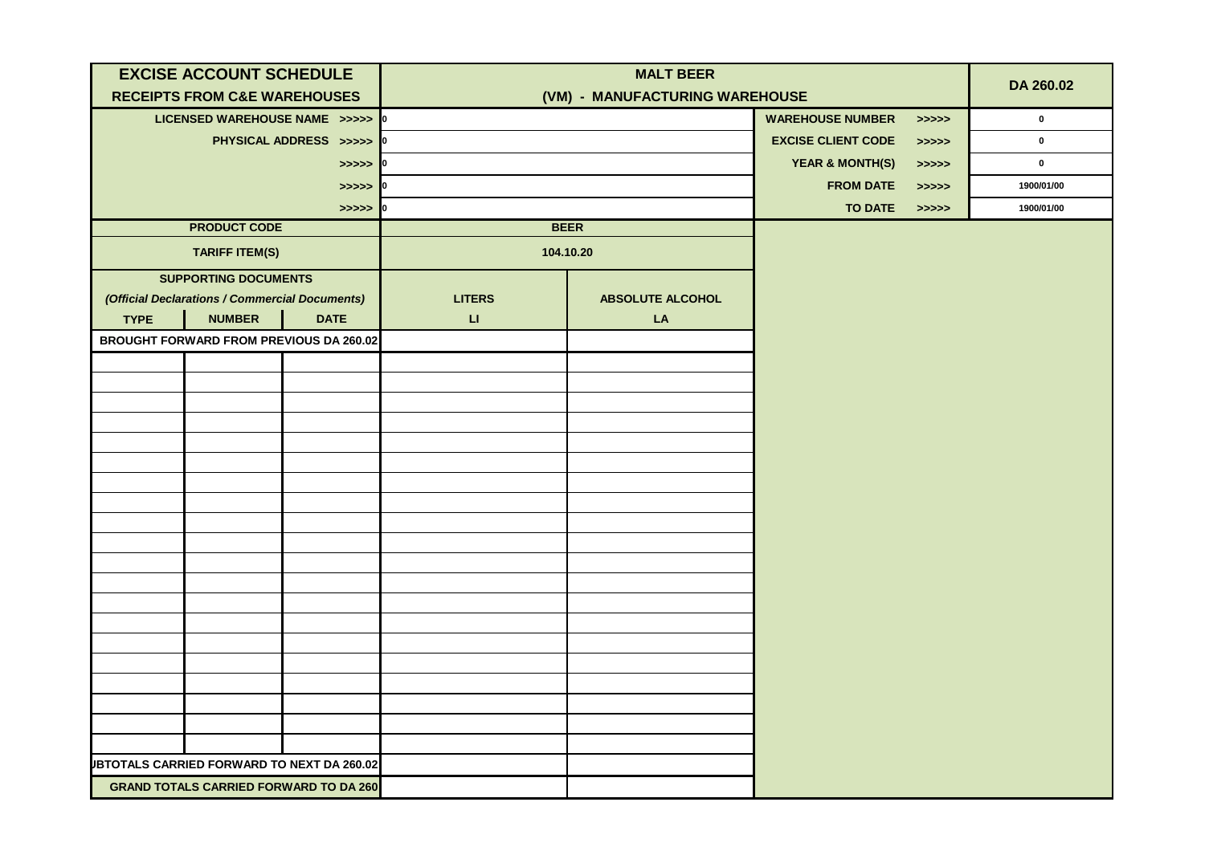| <b>EXCISE ACCOUNT SCHEDULE</b>                |                                                   |                                                   |                        | <b>MALT BEER</b>        |                                |                                                                       | DA 260.02   |  |
|-----------------------------------------------|---------------------------------------------------|---------------------------------------------------|------------------------|-------------------------|--------------------------------|-----------------------------------------------------------------------|-------------|--|
|                                               | <b>RECEIPTS FROM C&amp;E WAREHOUSES</b>           |                                                   |                        |                         | (VM) - MANUFACTURING WAREHOUSE |                                                                       |             |  |
|                                               | LICENSED WAREHOUSE NAME >>>>> 0                   |                                                   |                        |                         | <b>WAREHOUSE NUMBER</b>        | >>>>>                                                                 | $\mathbf 0$ |  |
|                                               |                                                   | PHYSICAL ADDRESS >>>>> 0                          |                        |                         | <b>EXCISE CLIENT CODE</b>      | > >> > >                                                              | $\mathbf 0$ |  |
|                                               |                                                   | $>>>>$ 0                                          |                        |                         | <b>YEAR &amp; MONTH(S)</b>     | >>>>>                                                                 | $\mathbf 0$ |  |
|                                               |                                                   | $>>>>$ 0                                          |                        |                         | <b>FROM DATE</b>               | > >> > >                                                              | 1900/01/00  |  |
|                                               |                                                   | $\Rightarrow \Rightarrow \Rightarrow \Rightarrow$ | 10                     |                         | <b>TO DATE</b>                 | $\boldsymbol{\gt} \boldsymbol{\gt} \boldsymbol{\gt} \boldsymbol{\gt}$ | 1900/01/00  |  |
|                                               | <b>PRODUCT CODE</b>                               |                                                   |                        | <b>BEER</b>             |                                |                                                                       |             |  |
|                                               | <b>TARIFF ITEM(S)</b>                             |                                                   |                        | 104.10.20               |                                |                                                                       |             |  |
|                                               | <b>SUPPORTING DOCUMENTS</b>                       |                                                   |                        |                         |                                |                                                                       |             |  |
|                                               | (Official Declarations / Commercial Documents)    |                                                   | <b>LITERS</b>          | <b>ABSOLUTE ALCOHOL</b> |                                |                                                                       |             |  |
| <b>TYPE</b>                                   | <b>NUMBER</b>                                     | <b>DATE</b>                                       | $\mathsf{L}\mathsf{L}$ | LA                      |                                |                                                                       |             |  |
|                                               | <b>BROUGHT FORWARD FROM PREVIOUS DA 260.02</b>    |                                                   |                        |                         |                                |                                                                       |             |  |
|                                               |                                                   |                                                   |                        |                         |                                |                                                                       |             |  |
|                                               |                                                   |                                                   |                        |                         |                                |                                                                       |             |  |
|                                               |                                                   |                                                   |                        |                         |                                |                                                                       |             |  |
|                                               |                                                   |                                                   |                        |                         |                                |                                                                       |             |  |
|                                               |                                                   |                                                   |                        |                         |                                |                                                                       |             |  |
|                                               |                                                   |                                                   |                        |                         |                                |                                                                       |             |  |
|                                               |                                                   |                                                   |                        |                         |                                |                                                                       |             |  |
|                                               |                                                   |                                                   |                        |                         |                                |                                                                       |             |  |
|                                               |                                                   |                                                   |                        |                         |                                |                                                                       |             |  |
|                                               |                                                   |                                                   |                        |                         |                                |                                                                       |             |  |
|                                               |                                                   |                                                   |                        |                         |                                |                                                                       |             |  |
|                                               |                                                   |                                                   |                        |                         |                                |                                                                       |             |  |
|                                               |                                                   |                                                   |                        |                         |                                |                                                                       |             |  |
|                                               |                                                   |                                                   |                        |                         |                                |                                                                       |             |  |
|                                               |                                                   |                                                   |                        |                         |                                |                                                                       |             |  |
|                                               |                                                   |                                                   |                        |                         |                                |                                                                       |             |  |
|                                               |                                                   |                                                   |                        |                         |                                |                                                                       |             |  |
|                                               |                                                   |                                                   |                        |                         |                                |                                                                       |             |  |
|                                               | <b>JBTOTALS CARRIED FORWARD TO NEXT DA 260.02</b> |                                                   |                        |                         |                                |                                                                       |             |  |
| <b>GRAND TOTALS CARRIED FORWARD TO DA 260</b> |                                                   |                                                   |                        |                         |                                |                                                                       |             |  |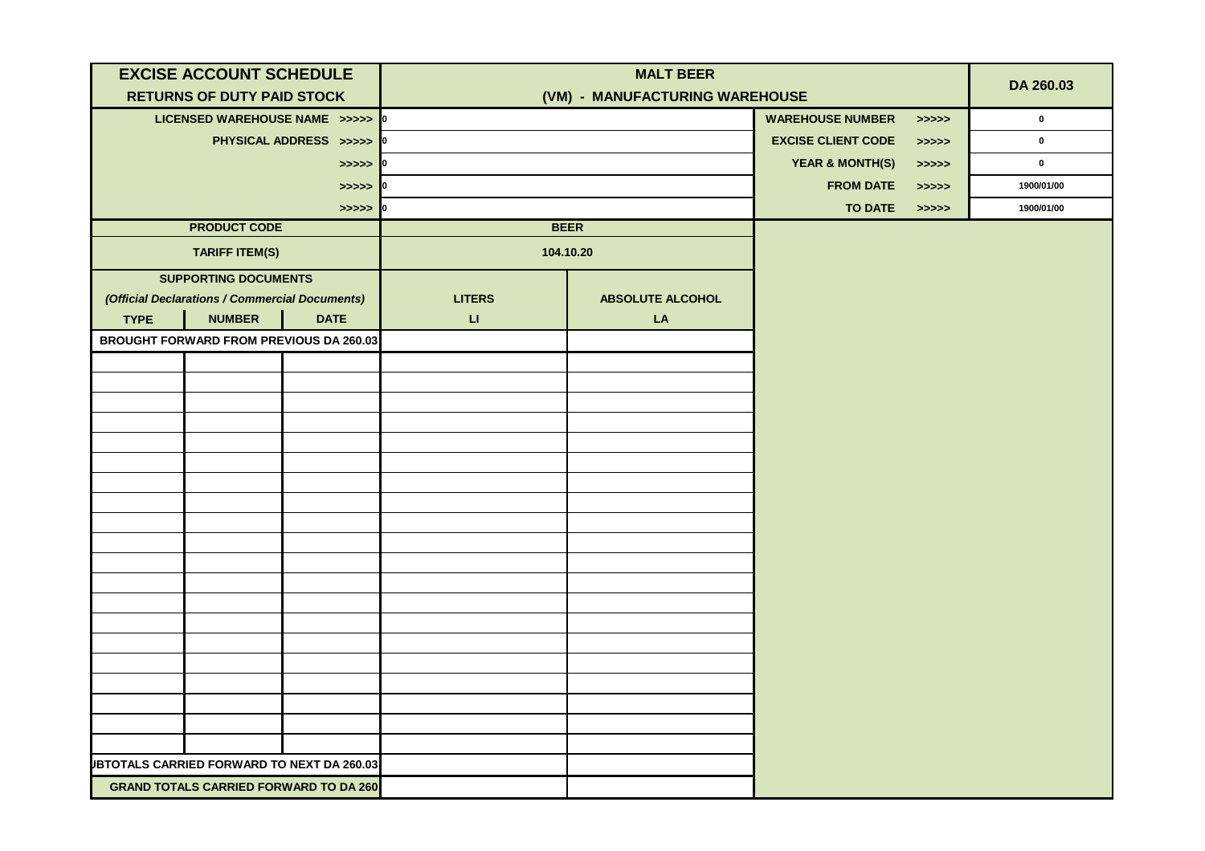| <b>EXCISE ACCOUNT SCHEDULE</b>                |                                                   |                          |                        | <b>MALT BEER</b>        |                                |                                                                       | DA 260.03    |  |
|-----------------------------------------------|---------------------------------------------------|--------------------------|------------------------|-------------------------|--------------------------------|-----------------------------------------------------------------------|--------------|--|
|                                               | <b>RETURNS OF DUTY PAID STOCK</b>                 |                          |                        |                         | (VM) - MANUFACTURING WAREHOUSE |                                                                       |              |  |
|                                               | LICENSED WAREHOUSE NAME >>>>> 0                   |                          |                        |                         | <b>WAREHOUSE NUMBER</b>        | > >> > > >                                                            | $\mathbf{0}$ |  |
|                                               |                                                   | PHYSICAL ADDRESS >>>>> 0 |                        |                         | <b>EXCISE CLIENT CODE</b>      | > >> > >                                                              | $\mathbf 0$  |  |
|                                               |                                                   | $>>>>$ 0                 |                        |                         | <b>YEAR &amp; MONTH(S)</b>     | > >> > >                                                              | $\mathbf 0$  |  |
|                                               |                                                   | $>>>>$ 0                 |                        |                         | <b>FROM DATE</b>               | >>>>>                                                                 | 1900/01/00   |  |
|                                               |                                                   | $>>>>$ 0                 |                        |                         | <b>TO DATE</b>                 | $\boldsymbol{\gt} \boldsymbol{\gt} \boldsymbol{\gt} \boldsymbol{\gt}$ | 1900/01/00   |  |
|                                               | <b>PRODUCT CODE</b>                               |                          |                        | <b>BEER</b>             |                                |                                                                       |              |  |
|                                               | <b>TARIFF ITEM(S)</b>                             |                          |                        | 104.10.20               |                                |                                                                       |              |  |
|                                               | <b>SUPPORTING DOCUMENTS</b>                       |                          |                        |                         |                                |                                                                       |              |  |
|                                               | (Official Declarations / Commercial Documents)    |                          | <b>LITERS</b>          | <b>ABSOLUTE ALCOHOL</b> |                                |                                                                       |              |  |
| <b>TYPE</b>                                   | <b>NUMBER</b>                                     | <b>DATE</b>              | $\mathsf{L}\mathsf{L}$ | LA                      |                                |                                                                       |              |  |
|                                               | <b>BROUGHT FORWARD FROM PREVIOUS DA 260.03</b>    |                          |                        |                         |                                |                                                                       |              |  |
|                                               |                                                   |                          |                        |                         |                                |                                                                       |              |  |
|                                               |                                                   |                          |                        |                         |                                |                                                                       |              |  |
|                                               |                                                   |                          |                        |                         |                                |                                                                       |              |  |
|                                               |                                                   |                          |                        |                         |                                |                                                                       |              |  |
|                                               |                                                   |                          |                        |                         |                                |                                                                       |              |  |
|                                               |                                                   |                          |                        |                         |                                |                                                                       |              |  |
|                                               |                                                   |                          |                        |                         |                                |                                                                       |              |  |
|                                               |                                                   |                          |                        |                         |                                |                                                                       |              |  |
|                                               |                                                   |                          |                        |                         |                                |                                                                       |              |  |
|                                               |                                                   |                          |                        |                         |                                |                                                                       |              |  |
|                                               |                                                   |                          |                        |                         |                                |                                                                       |              |  |
|                                               |                                                   |                          |                        |                         |                                |                                                                       |              |  |
|                                               |                                                   |                          |                        |                         |                                |                                                                       |              |  |
|                                               |                                                   |                          |                        |                         |                                |                                                                       |              |  |
|                                               |                                                   |                          |                        |                         |                                |                                                                       |              |  |
|                                               |                                                   |                          |                        |                         |                                |                                                                       |              |  |
|                                               |                                                   |                          |                        |                         |                                |                                                                       |              |  |
|                                               |                                                   |                          |                        |                         |                                |                                                                       |              |  |
|                                               | <b>JBTOTALS CARRIED FORWARD TO NEXT DA 260.03</b> |                          |                        |                         |                                |                                                                       |              |  |
| <b>GRAND TOTALS CARRIED FORWARD TO DA 260</b> |                                                   |                          |                        |                         |                                |                                                                       |              |  |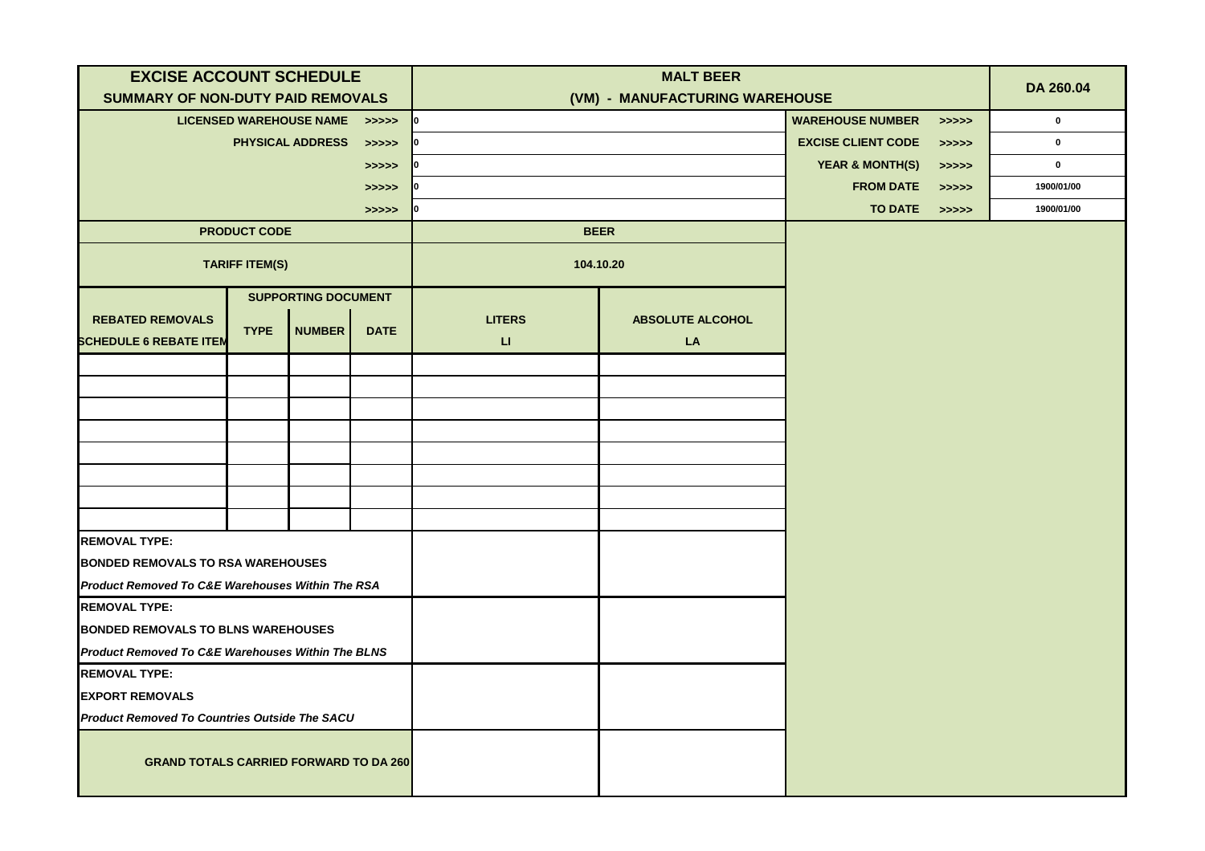| <b>EXCISE ACCOUNT SCHEDULE</b>                               |                       |                               |             | <b>MALT BEER</b>               |                         |                            |            |             |
|--------------------------------------------------------------|-----------------------|-------------------------------|-------------|--------------------------------|-------------------------|----------------------------|------------|-------------|
| SUMMARY OF NON-DUTY PAID REMOVALS                            |                       |                               |             | (VM) - MANUFACTURING WAREHOUSE |                         |                            |            | DA 260.04   |
|                                                              |                       | LICENSED WAREHOUSE NAME >>>>> |             |                                |                         | <b>WAREHOUSE NUMBER</b>    | >>>>>      | $\mathbf 0$ |
|                                                              |                       | <b>PHYSICAL ADDRESS</b>       | >>>>>       |                                |                         | <b>EXCISE CLIENT CODE</b>  | > >> > >   | $\mathbf 0$ |
|                                                              |                       |                               | >>>>>       |                                |                         | <b>YEAR &amp; MONTH(S)</b> | > >> > >   | $\mathbf 0$ |
|                                                              |                       |                               | >>>>>       |                                |                         | <b>FROM DATE</b>           | > >> > > > | 1900/01/00  |
|                                                              |                       |                               | >>>>>       |                                | <b>TO DATE</b>          | > >> > >                   | 1900/01/00 |             |
|                                                              | <b>PRODUCT CODE</b>   |                               |             |                                | <b>BEER</b>             |                            |            |             |
|                                                              | <b>TARIFF ITEM(S)</b> |                               |             |                                | 104.10.20               |                            |            |             |
|                                                              |                       | <b>SUPPORTING DOCUMENT</b>    |             |                                |                         |                            |            |             |
| <b>REBATED REMOVALS</b>                                      | <b>TYPE</b>           | NUMBER                        |             | <b>LITERS</b>                  | <b>ABSOLUTE ALCOHOL</b> |                            |            |             |
| <b>SCHEDULE 6 REBATE ITEM</b>                                |                       |                               | <b>DATE</b> | $\sqcup$                       | LA                      |                            |            |             |
|                                                              |                       |                               |             |                                |                         |                            |            |             |
|                                                              |                       |                               |             |                                |                         |                            |            |             |
|                                                              |                       |                               |             |                                |                         |                            |            |             |
|                                                              |                       |                               |             |                                |                         |                            |            |             |
|                                                              |                       |                               |             |                                |                         |                            |            |             |
|                                                              |                       |                               |             |                                |                         |                            |            |             |
|                                                              |                       |                               |             |                                |                         |                            |            |             |
|                                                              |                       |                               |             |                                |                         |                            |            |             |
| <b>REMOVAL TYPE:</b>                                         |                       |                               |             |                                |                         |                            |            |             |
| <b>BONDED REMOVALS TO RSA WAREHOUSES</b>                     |                       |                               |             |                                |                         |                            |            |             |
| <b>Product Removed To C&amp;E Warehouses Within The RSA</b>  |                       |                               |             |                                |                         |                            |            |             |
| <b>REMOVAL TYPE:</b>                                         |                       |                               |             |                                |                         |                            |            |             |
| <b>BONDED REMOVALS TO BLNS WAREHOUSES</b>                    |                       |                               |             |                                |                         |                            |            |             |
| <b>Product Removed To C&amp;E Warehouses Within The BLNS</b> |                       |                               |             |                                |                         |                            |            |             |
| <b>REMOVAL TYPE:</b>                                         |                       |                               |             |                                |                         |                            |            |             |
| <b>EXPORT REMOVALS</b>                                       |                       |                               |             |                                |                         |                            |            |             |
| <b>Product Removed To Countries Outside The SACU</b>         |                       |                               |             |                                |                         |                            |            |             |
| <b>GRAND TOTALS CARRIED FORWARD TO DA 260</b>                |                       |                               |             |                                |                         |                            |            |             |